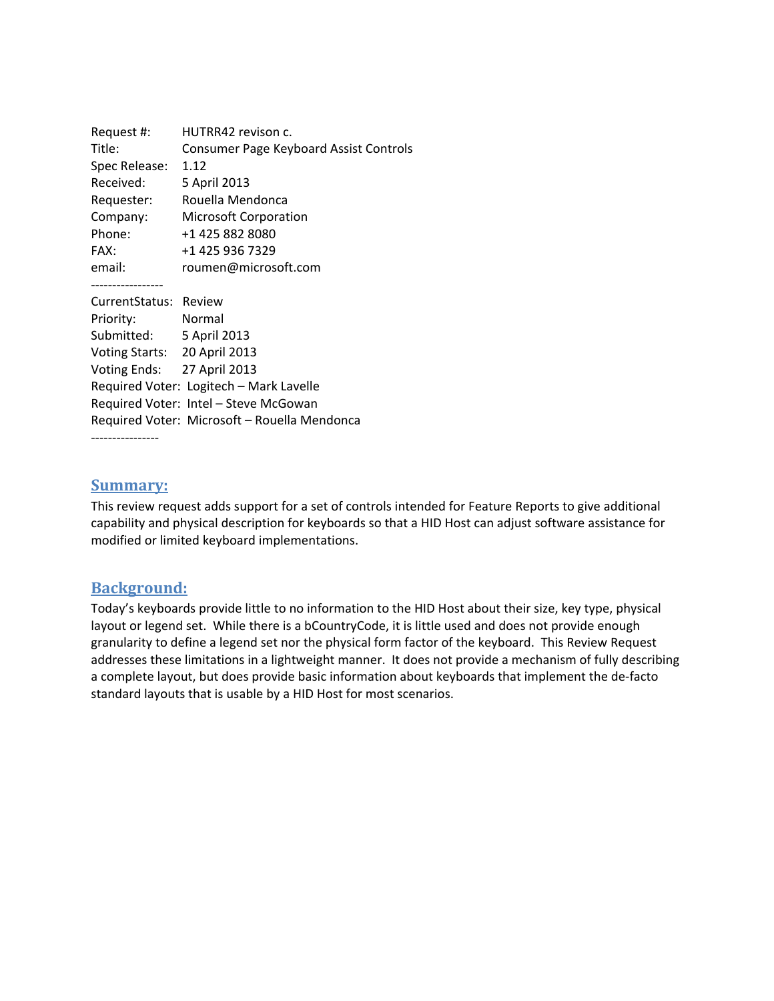| Request #:                   | HUTRR42 revison c.                           |
|------------------------------|----------------------------------------------|
| Title:                       | Consumer Page Keyboard Assist Controls       |
| Spec Release:                | 1.12                                         |
| Received:                    | 5 April 2013                                 |
| Requester:                   | Rouella Mendonca                             |
| Company:                     | <b>Microsoft Corporation</b>                 |
| Phone:                       | +1 425 882 8080                              |
| FAX:                         | +1 425 936 7329                              |
| email:                       | roumen@microsoft.com                         |
|                              |                                              |
| CurrentStatus: Review        |                                              |
| Priority:                    | Normal                                       |
| Submitted: 5 April 2013      |                                              |
| Voting Starts: 20 April 2013 |                                              |
| Voting Ends: 27 April 2013   |                                              |
|                              | Required Voter: Logitech - Mark Lavelle      |
|                              | Required Voter: Intel - Steve McGowan        |
|                              | Required Voter: Microsoft - Rouella Mendonca |
|                              |                                              |

#### **Summary:**

This review request adds support for a set of controls intended for Feature Reports to give additional capability and physical description for keyboards so that a HID Host can adjust software assistance for modified or limited keyboard implementations.

#### **Background:**

Today's keyboards provide little to no information to the HID Host about their size, key type, physical layout or legend set. While there is a bCountryCode, it is little used and does not provide enough granularity to define a legend set nor the physical form factor of the keyboard. This Review Request addresses these limitations in a lightweight manner. It does not provide a mechanism of fully describing a complete layout, but does provide basic information about keyboards that implement the de‐facto standard layouts that is usable by a HID Host for most scenarios.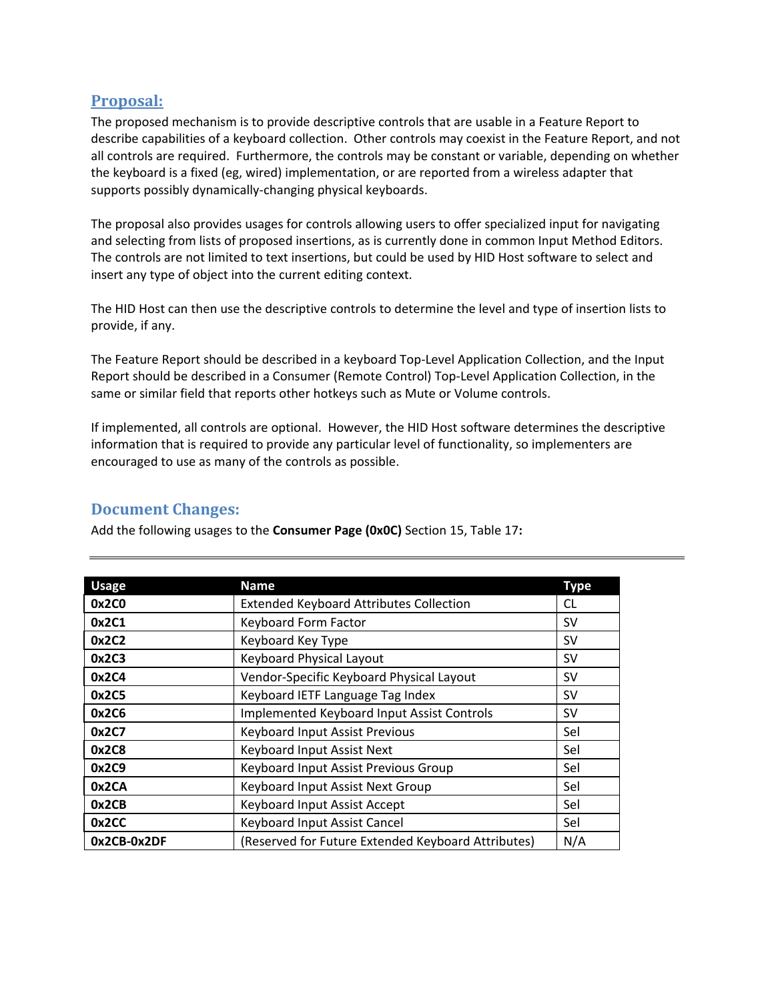### **Proposal:**

The proposed mechanism is to provide descriptive controls that are usable in a Feature Report to describe capabilities of a keyboard collection. Other controls may coexist in the Feature Report, and not all controls are required. Furthermore, the controls may be constant or variable, depending on whether the keyboard is a fixed (eg, wired) implementation, or are reported from a wireless adapter that supports possibly dynamically‐changing physical keyboards.

The proposal also provides usages for controls allowing users to offer specialized input for navigating and selecting from lists of proposed insertions, as is currently done in common Input Method Editors. The controls are not limited to text insertions, but could be used by HID Host software to select and insert any type of object into the current editing context.

The HID Host can then use the descriptive controls to determine the level and type of insertion lists to provide, if any.

The Feature Report should be described in a keyboard Top‐Level Application Collection, and the Input Report should be described in a Consumer (Remote Control) Top‐Level Application Collection, in the same or similar field that reports other hotkeys such as Mute or Volume controls.

If implemented, all controls are optional. However, the HID Host software determines the descriptive information that is required to provide any particular level of functionality, so implementers are encouraged to use as many of the controls as possible.

## **Document Changes:**

Add the following usages to the **Consumer Page (0x0C)** Section 15, Table 17**:** 

| <b>Usage</b> | <b>Name</b>                                        | <b>Type</b> |
|--------------|----------------------------------------------------|-------------|
| 0x2C0        | <b>Extended Keyboard Attributes Collection</b>     | <b>CL</b>   |
| 0x2C1        | Keyboard Form Factor                               | <b>SV</b>   |
| 0x2C2        | Keyboard Key Type                                  | <b>SV</b>   |
| 0x2C3        | Keyboard Physical Layout                           | <b>SV</b>   |
| 0x2C4        | Vendor-Specific Keyboard Physical Layout           | <b>SV</b>   |
| 0x2C5        | Keyboard IETF Language Tag Index                   | <b>SV</b>   |
| 0x2C6        | Implemented Keyboard Input Assist Controls         | <b>SV</b>   |
| 0x2C7        | Keyboard Input Assist Previous                     | Sel         |
| 0x2C8        | Keyboard Input Assist Next                         | Sel         |
| 0x2C9        | Keyboard Input Assist Previous Group               | Sel         |
| 0x2CA        | Keyboard Input Assist Next Group                   | Sel         |
| 0x2CB        | Keyboard Input Assist Accept                       | Sel         |
| 0x2CC        | Keyboard Input Assist Cancel                       | Sel         |
| 0x2CB-0x2DF  | (Reserved for Future Extended Keyboard Attributes) | N/A         |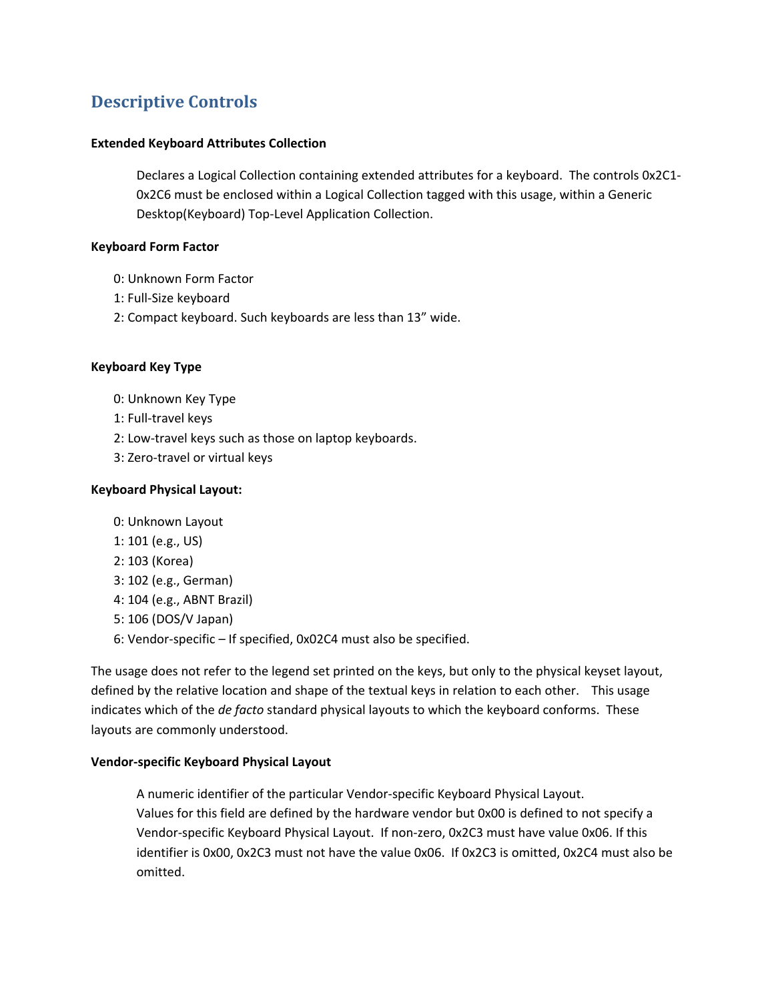# **Descriptive Controls**

#### **Extended Keyboard Attributes Collection**

Declares a Logical Collection containing extended attributes for a keyboard. The controls 0x2C1‐ 0x2C6 must be enclosed within a Logical Collection tagged with this usage, within a Generic Desktop(Keyboard) Top‐Level Application Collection.

#### **Keyboard Form Factor**

- 0: Unknown Form Factor
- 1: Full‐Size keyboard
- 2: Compact keyboard. Such keyboards are less than 13" wide.

#### **Keyboard Key Type**

- 0: Unknown Key Type
- 1: Full‐travel keys
- 2: Low‐travel keys such as those on laptop keyboards.
- 3: Zero‐travel or virtual keys

#### **Keyboard Physical Layout:**

- 0: Unknown Layout
- 1: 101 (e.g., US)
- 2: 103 (Korea)
- 3: 102 (e.g., German)
- 4: 104 (e.g., ABNT Brazil)
- 5: 106 (DOS/V Japan)
- 6: Vendor‐specific If specified, 0x02C4 must also be specified.

The usage does not refer to the legend set printed on the keys, but only to the physical keyset layout, defined by the relative location and shape of the textual keys in relation to each other. This usage indicates which of the *de facto* standard physical layouts to which the keyboard conforms. These layouts are commonly understood.

#### **Vendor‐specific Keyboard Physical Layout**

A numeric identifier of the particular Vendor‐specific Keyboard Physical Layout. Values for this field are defined by the hardware vendor but 0x00 is defined to not specify a Vendor‐specific Keyboard Physical Layout. If non‐zero, 0x2C3 must have value 0x06. If this identifier is 0x00, 0x2C3 must not have the value 0x06. If 0x2C3 is omitted, 0x2C4 must also be omitted.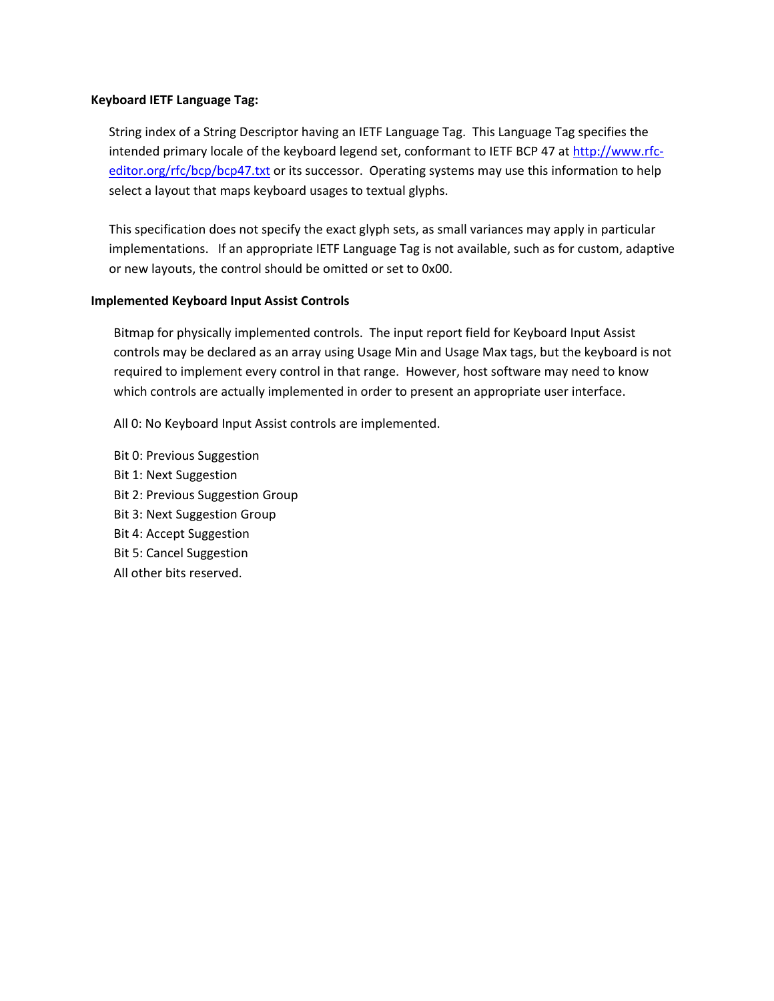#### **Keyboard IETF Language Tag:**

String index of a String Descriptor having an IETF Language Tag. This Language Tag specifies the intended primary locale of the keyboard legend set, conformant to IETF BCP 47 at http://www.rfc‐ editor.org/rfc/bcp/bcp47.txt or its successor. Operating systems may use this information to help select a layout that maps keyboard usages to textual glyphs.

This specification does not specify the exact glyph sets, as small variances may apply in particular implementations. If an appropriate IETF Language Tag is not available, such as for custom, adaptive or new layouts, the control should be omitted or set to 0x00.

#### **Implemented Keyboard Input Assist Controls**

Bitmap for physically implemented controls. The input report field for Keyboard Input Assist controls may be declared as an array using Usage Min and Usage Max tags, but the keyboard is not required to implement every control in that range. However, host software may need to know which controls are actually implemented in order to present an appropriate user interface.

All 0: No Keyboard Input Assist controls are implemented.

Bit 0: Previous Suggestion Bit 1: Next Suggestion Bit 2: Previous Suggestion Group Bit 3: Next Suggestion Group Bit 4: Accept Suggestion Bit 5: Cancel Suggestion All other bits reserved.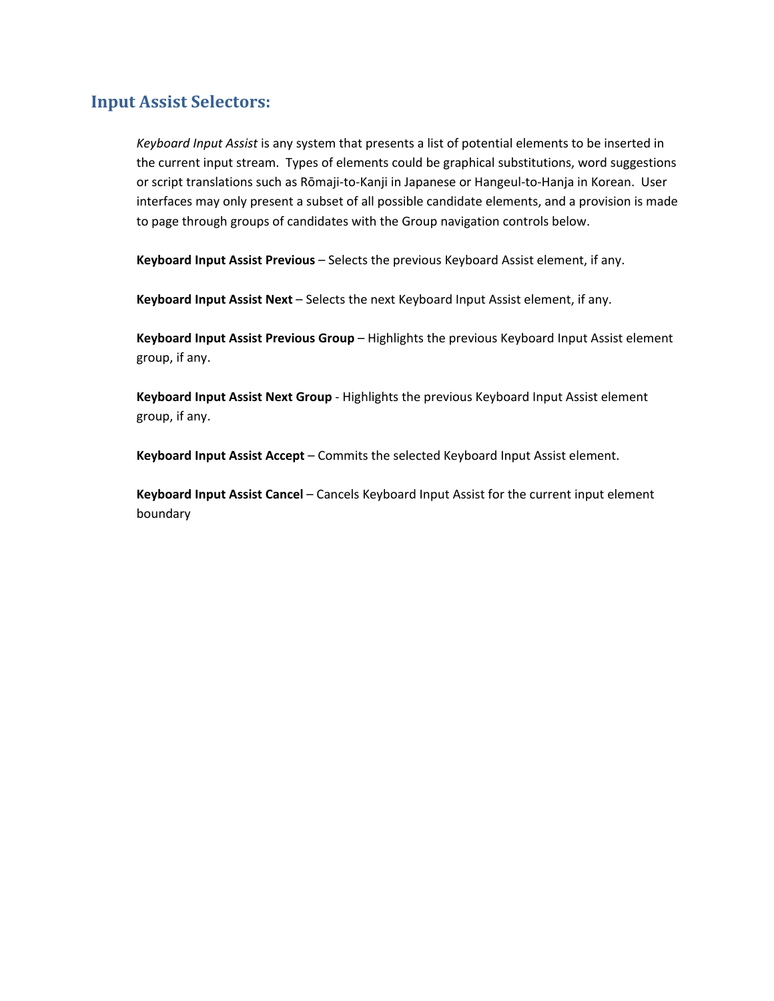## **Input Assist Selectors:**

*Keyboard Input Assist* is any system that presents a list of potential elements to be inserted in the current input stream. Types of elements could be graphical substitutions, word suggestions or script translations such as Rōmaji‐to‐Kanji in Japanese or Hangeul‐to‐Hanja in Korean. User interfaces may only present a subset of all possible candidate elements, and a provision is made to page through groups of candidates with the Group navigation controls below.

**Keyboard Input Assist Previous** – Selects the previous Keyboard Assist element, if any.

**Keyboard Input Assist Next** – Selects the next Keyboard Input Assist element, if any.

**Keyboard Input Assist Previous Group** – Highlights the previous Keyboard Input Assist element group, if any.

**Keyboard Input Assist Next Group** ‐ Highlights the previous Keyboard Input Assist element group, if any.

**Keyboard Input Assist Accept** – Commits the selected Keyboard Input Assist element.

**Keyboard Input Assist Cancel** – Cancels Keyboard Input Assist for the current input element boundary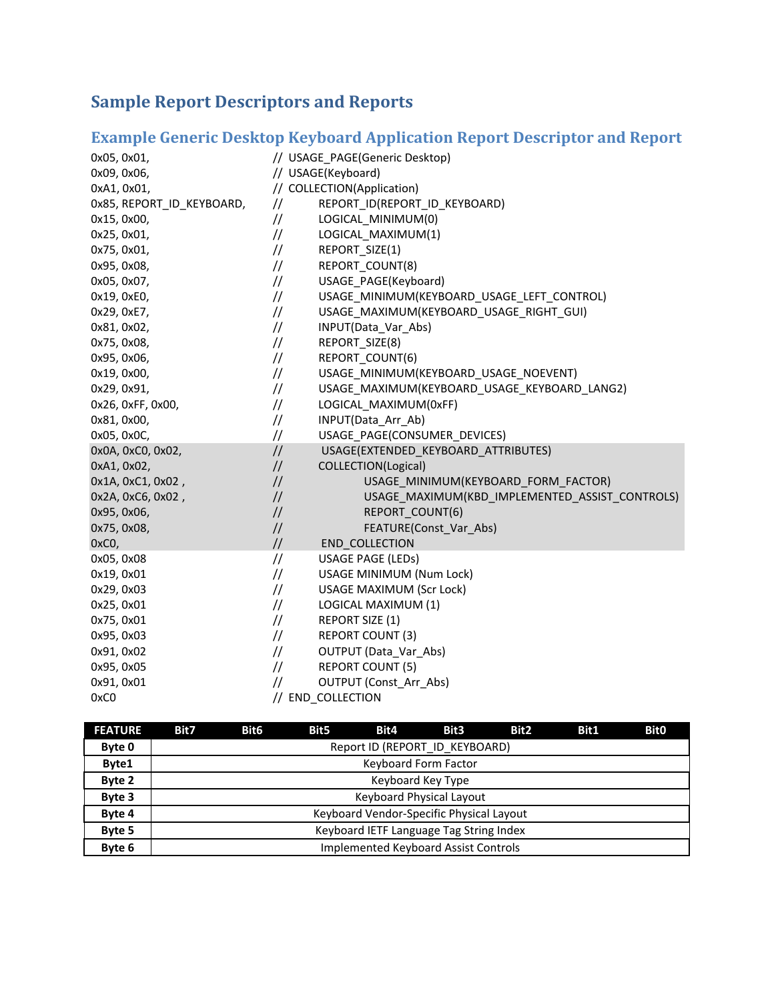# **Sample Report Descriptors and Reports**

# **Example Generic Desktop Keyboard Application Report Descriptor and Report**

| 0x05, 0x01,               |               | // USAGE_PAGE(Generic Desktop)                 |  |  |  |  |
|---------------------------|---------------|------------------------------------------------|--|--|--|--|
| 0x09, 0x06,               |               | // USAGE(Keyboard)                             |  |  |  |  |
| 0xA1, 0x01,               |               | // COLLECTION(Application)                     |  |  |  |  |
| 0x85, REPORT_ID_KEYBOARD, | $\frac{1}{2}$ | REPORT_ID(REPORT_ID_KEYBOARD)                  |  |  |  |  |
| 0x15, 0x00,               | $\frac{1}{2}$ | LOGICAL MINIMUM(0)                             |  |  |  |  |
| 0x25, 0x01,               | $\frac{1}{2}$ | LOGICAL_MAXIMUM(1)                             |  |  |  |  |
| 0x75, 0x01,               | $\frac{1}{2}$ | REPORT_SIZE(1)                                 |  |  |  |  |
| 0x95, 0x08,               | $\frac{1}{2}$ | REPORT_COUNT(8)                                |  |  |  |  |
| 0x05, 0x07,               | $\frac{1}{2}$ | USAGE_PAGE(Keyboard)                           |  |  |  |  |
| 0x19, 0xE0,               | $\frac{1}{2}$ | USAGE_MINIMUM(KEYBOARD_USAGE_LEFT_CONTROL)     |  |  |  |  |
| 0x29, 0xE7,               | $\frac{1}{2}$ | USAGE_MAXIMUM(KEYBOARD_USAGE_RIGHT_GUI)        |  |  |  |  |
| 0x81, 0x02,               | $\frac{1}{2}$ | INPUT(Data_Var_Abs)                            |  |  |  |  |
| 0x75, 0x08,               | $\frac{1}{2}$ | REPORT SIZE(8)                                 |  |  |  |  |
| 0x95, 0x06,               | $\frac{1}{2}$ | REPORT_COUNT(6)                                |  |  |  |  |
| 0x19, 0x00,               | $\frac{1}{2}$ | USAGE MINIMUM(KEYBOARD USAGE NOEVENT)          |  |  |  |  |
| 0x29, 0x91,               | $\frac{1}{2}$ | USAGE_MAXIMUM(KEYBOARD_USAGE_KEYBOARD_LANG2)   |  |  |  |  |
| 0x26, 0xFF, 0x00,         | $\frac{1}{2}$ | LOGICAL MAXIMUM(0xFF)                          |  |  |  |  |
| 0x81, 0x00,               | $\frac{1}{2}$ | INPUT(Data_Arr_Ab)                             |  |  |  |  |
| 0x05, 0x0C,               | $\frac{1}{2}$ | USAGE_PAGE(CONSUMER_DEVICES)                   |  |  |  |  |
| 0x0A, 0xC0, 0x02,         | $\frac{1}{2}$ | USAGE(EXTENDED_KEYBOARD_ATTRIBUTES)            |  |  |  |  |
| 0xA1, 0x02,               | $\frac{1}{2}$ | COLLECTION(Logical)                            |  |  |  |  |
| 0x1A, 0xC1, 0x02,         | $\frac{1}{2}$ | USAGE_MINIMUM(KEYBOARD_FORM_FACTOR)            |  |  |  |  |
| 0x2A, 0xC6, 0x02,         | $\frac{1}{2}$ | USAGE_MAXIMUM(KBD_IMPLEMENTED_ASSIST_CONTROLS) |  |  |  |  |
| 0x95, 0x06,               | $\frac{1}{2}$ | REPORT COUNT(6)                                |  |  |  |  |
| 0x75, 0x08,               | $\frac{1}{2}$ | FEATURE(Const_Var_Abs)                         |  |  |  |  |
| $0xC0$ ,                  | $\frac{1}{2}$ | END_COLLECTION                                 |  |  |  |  |
| 0x05, 0x08                | $\frac{1}{2}$ | <b>USAGE PAGE (LEDs)</b>                       |  |  |  |  |
| 0x19, 0x01                | $\frac{1}{2}$ | USAGE MINIMUM (Num Lock)                       |  |  |  |  |
| 0x29, 0x03                | $\frac{1}{2}$ | <b>USAGE MAXIMUM (Scr Lock)</b>                |  |  |  |  |
| 0x25, 0x01                | $\frac{1}{2}$ | LOGICAL MAXIMUM (1)                            |  |  |  |  |
| 0x75, 0x01                | $\frac{1}{2}$ | <b>REPORT SIZE (1)</b>                         |  |  |  |  |
| 0x95, 0x03                | $\frac{1}{2}$ | <b>REPORT COUNT (3)</b>                        |  |  |  |  |
| 0x91, 0x02                | $\frac{1}{2}$ | <b>OUTPUT (Data_Var_Abs)</b>                   |  |  |  |  |
| 0x95, 0x05                | $\frac{1}{2}$ | <b>REPORT COUNT (5)</b>                        |  |  |  |  |
| 0x91, 0x01                | $\frac{1}{2}$ | <b>OUTPUT (Const_Arr_Abs)</b>                  |  |  |  |  |
| 0xC0                      |               | // END COLLECTION                              |  |  |  |  |

| <b>FEATURE</b> | Bit7                                        | Bit <sub>6</sub> | Bit5 | Bit4 | Bit3 | Bit <sub>2</sub> | Bit1 | <b>Bit0</b> |
|----------------|---------------------------------------------|------------------|------|------|------|------------------|------|-------------|
| Byte 0         | Report ID (REPORT ID KEYBOARD)              |                  |      |      |      |                  |      |             |
| Byte1          | Keyboard Form Factor                        |                  |      |      |      |                  |      |             |
| Byte 2         | Keyboard Key Type                           |                  |      |      |      |                  |      |             |
| Byte 3         | Keyboard Physical Layout                    |                  |      |      |      |                  |      |             |
| Byte 4         | Keyboard Vendor-Specific Physical Layout    |                  |      |      |      |                  |      |             |
| Byte 5         | Keyboard IETF Language Tag String Index     |                  |      |      |      |                  |      |             |
| Byte 6         | <b>Implemented Keyboard Assist Controls</b> |                  |      |      |      |                  |      |             |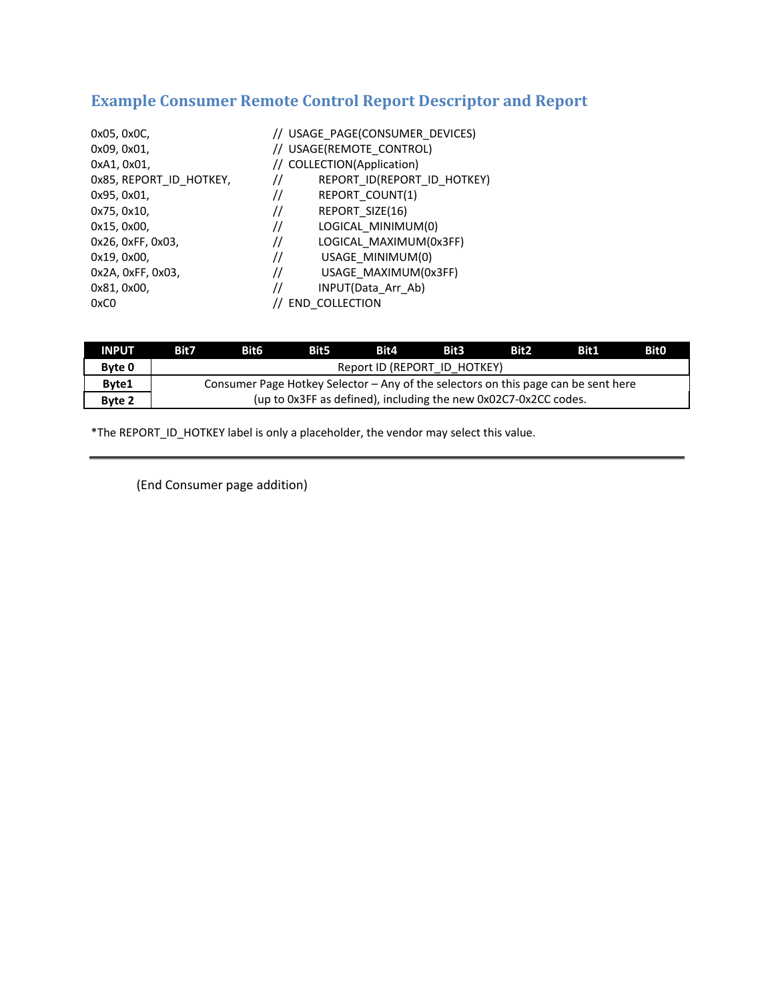# **Example Consumer Remote Control Report Descriptor and Report**

| 0x05, 0x0C,<br>0x09, 0x01,<br>0xA1, 0x01, | // USAGE PAGE(CONSUMER DEVICES)<br>// USAGE(REMOTE CONTROL)<br>// COLLECTION(Application) |
|-------------------------------------------|-------------------------------------------------------------------------------------------|
| 0x85, REPORT ID HOTKEY,                   | REPORT ID(REPORT ID HOTKEY)<br>77                                                         |
| 0x95, 0x01,                               | REPORT COUNT(1)<br>77                                                                     |
| 0x75, 0x10,                               | REPORT SIZE(16)<br>77                                                                     |
| 0x15, 0x00,                               | LOGICAL MINIMUM(0)<br>77                                                                  |
| 0x26, 0xFF, 0x03,                         | LOGICAL MAXIMUM(0x3FF)<br>77                                                              |
| 0x19, 0x00,                               | USAGE MINIMUM(0)<br>77                                                                    |
| 0x2A, 0xFF, 0x03,                         | USAGE MAXIMUM(0x3FF)<br>//                                                                |
| 0x81, 0x00,                               | INPUT(Data Arr Ab)<br>77                                                                  |
| 0xC0                                      | <b>END COLLECTION</b>                                                                     |

| <b>INPUT</b>  | Bit7                                                                               | <b>Bit6</b> | <b>Bit5</b> | Bit4 | <b>Bit3</b> | Bit <sub>2</sub> | Bit1 | <b>Bit0</b> |
|---------------|------------------------------------------------------------------------------------|-------------|-------------|------|-------------|------------------|------|-------------|
| <b>Byte 0</b> | Report ID (REPORT ID HOTKEY)                                                       |             |             |      |             |                  |      |             |
| Byte1         | Consumer Page Hotkey Selector – Any of the selectors on this page can be sent here |             |             |      |             |                  |      |             |
| Byte 2        | (up to 0x3FF as defined), including the new 0x02C7-0x2CC codes.                    |             |             |      |             |                  |      |             |

\*The REPORT\_ID\_HOTKEY label is only a placeholder, the vendor may select this value.

(End Consumer page addition)